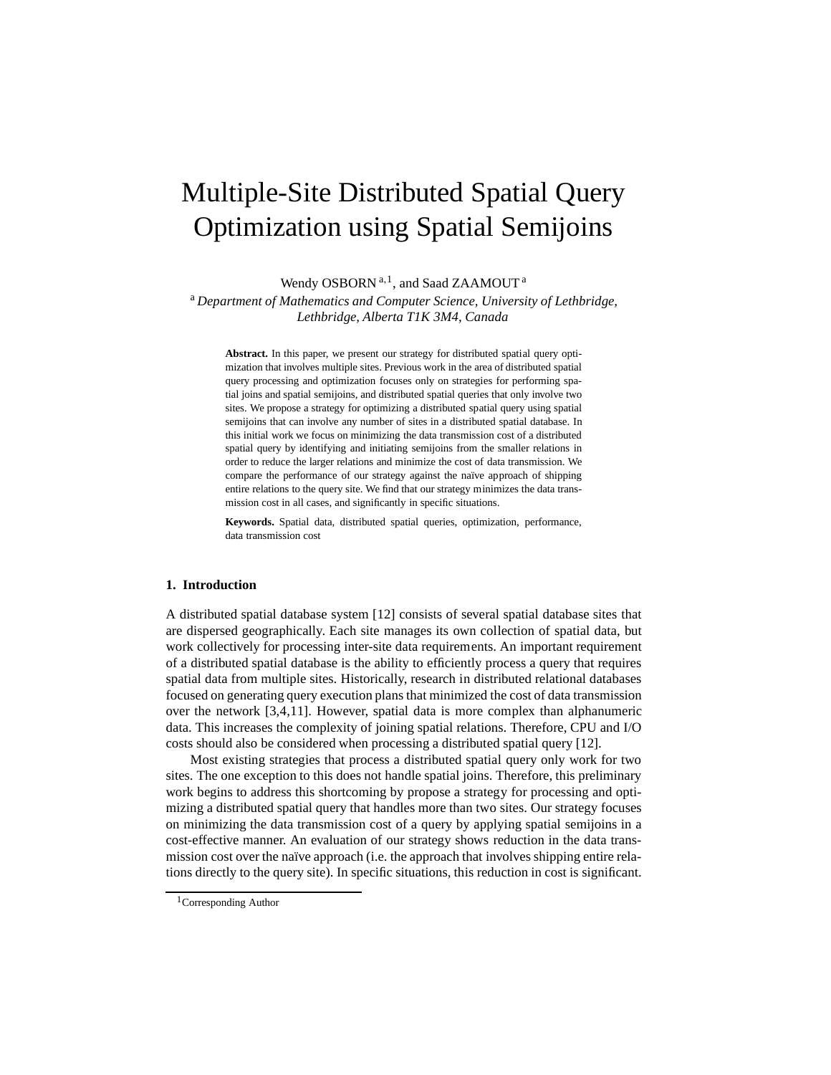# Multiple-Site Distributed Spatial Query Optimization using Spatial Semijoins

Wendy OSBORN<sup>a, 1</sup>, and Saad ZAAMOUT<sup>a</sup>

<sup>a</sup> *Department of Mathematics and Computer Science, University of Lethbridge, Lethbridge, Alberta T1K 3M4, Canada*

**Abstract.** In this paper, we present our strategy for distributed spatial query optimization that involves multiple sites. Previous work in the area of distributed spatial query processing and optimization focuses only on strategies for performing spatial joins and spatial semijoins, and distributed spatial queries that only involve two sites. We propose a strategy for optimizing a distributed spatial query using spatial semijoins that can involve any number of sites in a distributed spatial database. In this initial work we focus on minimizing the data transmission cost of a distributed spatial query by identifying and initiating semijoins from the smaller relations in order to reduce the larger relations and minimize the cost of data transmission. We compare the performance of our strategy against the naïve approach of shipping entire relations to the query site. We find that our strategy minimizes the data transmission cost in all cases, and significantly in specific situations.

**Keywords.** Spatial data, distributed spatial queries, optimization, performance, data transmission cost

#### **1. Introduction**

A distributed spatial database system [12] consists of several spatial database sites that are dispersed geographically. Each site manages its own collection of spatial data, but work collectively for processing inter-site data requirements. An important requirement of a distributed spatial database is the ability to efficiently process a query that requires spatial data from multiple sites. Historically, research in distributed relational databases focused on generating query execution plans that minimized the cost of data transmission over the network [3,4,11]. However, spatial data is more complex than alphanumeric data. This increases the complexity of joining spatial relations. Therefore, CPU and I/O costs should also be considered when processing a distributed spatial query [12].

Most existing strategies that process a distributed spatial query only work for two sites. The one exception to this does not handle spatial joins. Therefore, this preliminary work begins to address this shortcoming by propose a strategy for processing and optimizing a distributed spatial query that handles more than two sites. Our strategy focuses on minimizing the data transmission cost of a query by applying spatial semijoins in a cost-effective manner. An evaluation of our strategy shows reduction in the data transmission cost over the naïve approach (i.e. the approach that involves shipping entire relations directly to the query site). In specific situations, this reduction in cost is significant.

<sup>1</sup>Corresponding Author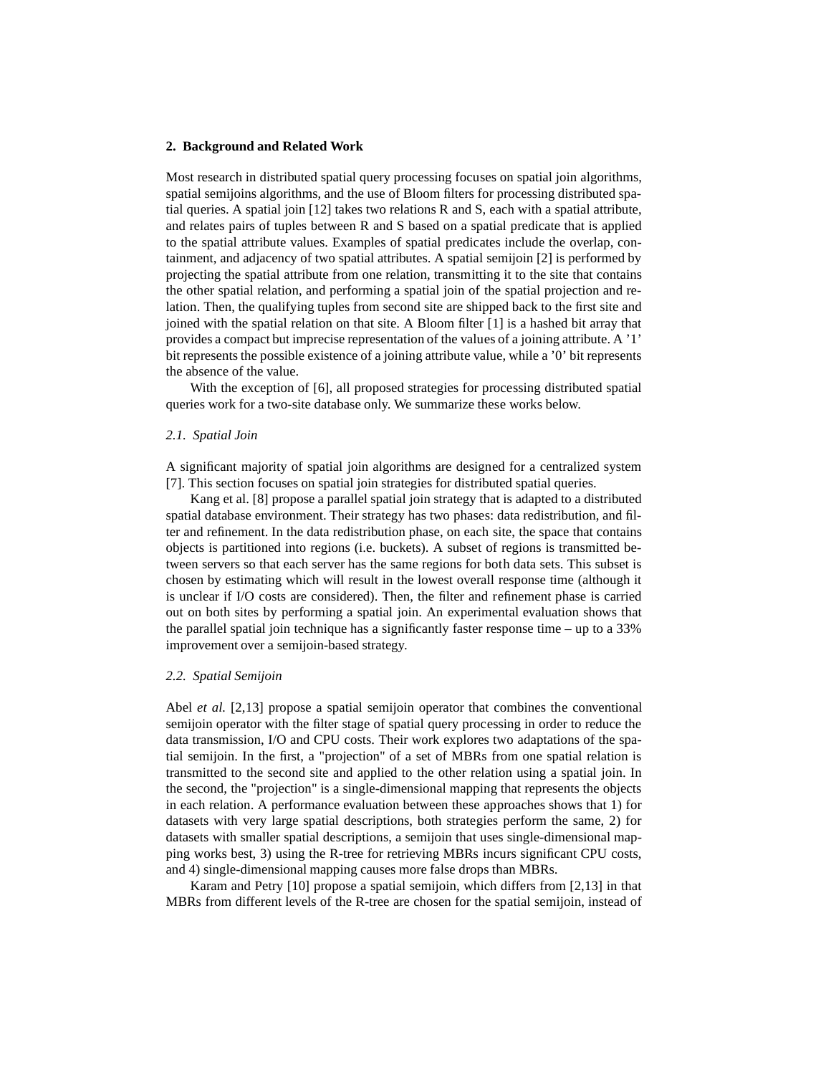#### **2. Background and Related Work**

Most research in distributed spatial query processing focuses on spatial join algorithms, spatial semijoins algorithms, and the use of Bloom filters for processing distributed spatial queries. A spatial join [12] takes two relations R and S, each with a spatial attribute, and relates pairs of tuples between R and S based on a spatial predicate that is applied to the spatial attribute values. Examples of spatial predicates include the overlap, containment, and adjacency of two spatial attributes. A spatial semijoin [2] is performed by projecting the spatial attribute from one relation, transmitting it to the site that contains the other spatial relation, and performing a spatial join of the spatial projection and relation. Then, the qualifying tuples from second site are shipped back to the first site and joined with the spatial relation on that site. A Bloom filter [1] is a hashed bit array that provides a compact but imprecise representation of the values of a joining attribute. A '1' bit represents the possible existence of a joining attribute value, while a '0' bit represents the absence of the value.

With the exception of [6], all proposed strategies for processing distributed spatial queries work for a two-site database only. We summarize these works below.

#### *2.1. Spatial Join*

A significant majority of spatial join algorithms are designed for a centralized system [7]. This section focuses on spatial join strategies for distributed spatial queries.

Kang et al. [8] propose a parallel spatial join strategy that is adapted to a distributed spatial database environment. Their strategy has two phases: data redistribution, and filter and refinement. In the data redistribution phase, on each site, the space that contains objects is partitioned into regions (i.e. buckets). A subset of regions is transmitted between servers so that each server has the same regions for both data sets. This subset is chosen by estimating which will result in the lowest overall response time (although it is unclear if I/O costs are considered). Then, the filter and refinement phase is carried out on both sites by performing a spatial join. An experimental evaluation shows that the parallel spatial join technique has a significantly faster response time – up to a 33% improvement over a semijoin-based strategy.

#### *2.2. Spatial Semijoin*

Abel *et al.* [2,13] propose a spatial semijoin operator that combines the conventional semijoin operator with the filter stage of spatial query processing in order to reduce the data transmission, I/O and CPU costs. Their work explores two adaptations of the spatial semijoin. In the first, a "projection" of a set of MBRs from one spatial relation is transmitted to the second site and applied to the other relation using a spatial join. In the second, the "projection" is a single-dimensional mapping that represents the objects in each relation. A performance evaluation between these approaches shows that 1) for datasets with very large spatial descriptions, both strategies perform the same, 2) for datasets with smaller spatial descriptions, a semijoin that uses single-dimensional mapping works best, 3) using the R-tree for retrieving MBRs incurs significant CPU costs, and 4) single-dimensional mapping causes more false drops than MBRs.

Karam and Petry [10] propose a spatial semijoin, which differs from [2,13] in that MBRs from different levels of the R-tree are chosen for the spatial semijoin, instead of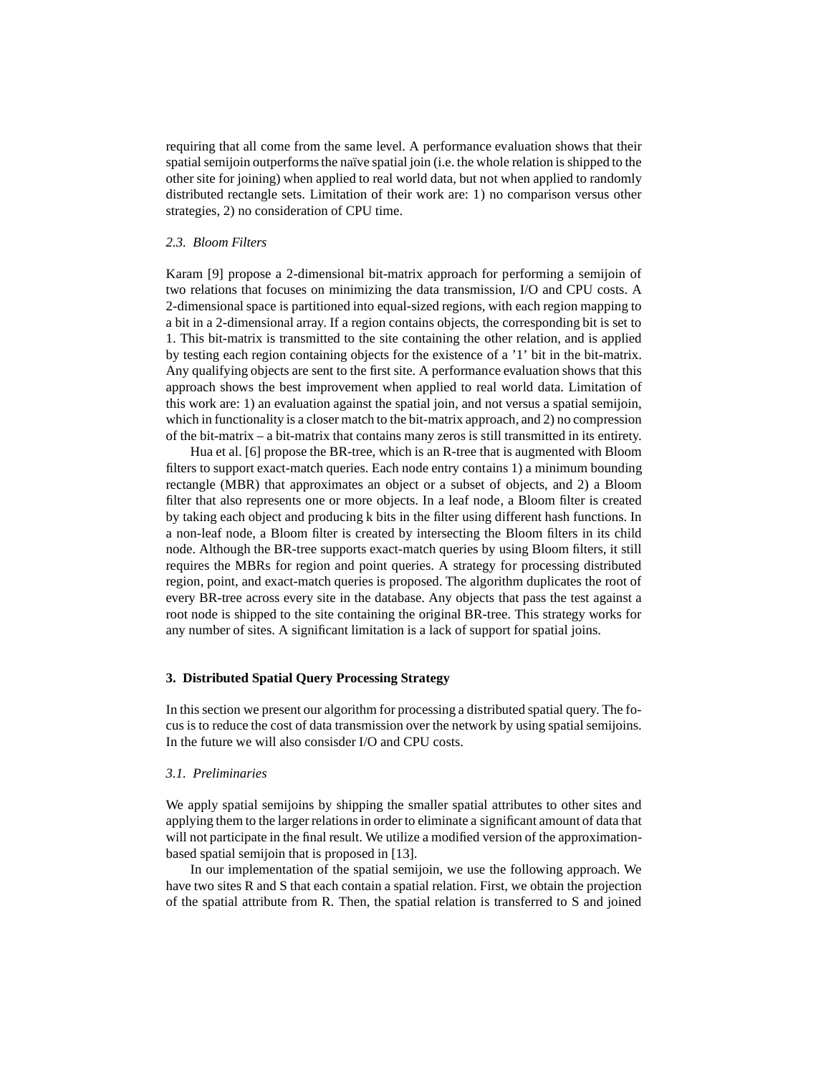requiring that all come from the same level. A performance evaluation shows that their spatial semijoin outperforms the naïve spatial join (i.e. the whole relation is shipped to the other site for joining) when applied to real world data, but not when applied to randomly distributed rectangle sets. Limitation of their work are: 1) no comparison versus other strategies, 2) no consideration of CPU time.

# *2.3. Bloom Filters*

Karam [9] propose a 2-dimensional bit-matrix approach for performing a semijoin of two relations that focuses on minimizing the data transmission, I/O and CPU costs. A 2-dimensional space is partitioned into equal-sized regions, with each region mapping to a bit in a 2-dimensional array. If a region contains objects, the corresponding bit is set to 1. This bit-matrix is transmitted to the site containing the other relation, and is applied by testing each region containing objects for the existence of a '1' bit in the bit-matrix. Any qualifying objects are sent to the first site. A performance evaluation shows that this approach shows the best improvement when applied to real world data. Limitation of this work are: 1) an evaluation against the spatial join, and not versus a spatial semijoin, which in functionality is a closer match to the bit-matrix approach, and 2) no compression of the bit-matrix – a bit-matrix that contains many zeros is still transmitted in its entirety.

Hua et al. [6] propose the BR-tree, which is an R-tree that is augmented with Bloom filters to support exact-match queries. Each node entry contains 1) a minimum bounding rectangle (MBR) that approximates an object or a subset of objects, and 2) a Bloom filter that also represents one or more objects. In a leaf node, a Bloom filter is created by taking each object and producing k bits in the filter using different hash functions. In a non-leaf node, a Bloom filter is created by intersecting the Bloom filters in its child node. Although the BR-tree supports exact-match queries by using Bloom filters, it still requires the MBRs for region and point queries. A strategy for processing distributed region, point, and exact-match queries is proposed. The algorithm duplicates the root of every BR-tree across every site in the database. Any objects that pass the test against a root node is shipped to the site containing the original BR-tree. This strategy works for any number of sites. A significant limitation is a lack of support for spatial joins.

## **3. Distributed Spatial Query Processing Strategy**

In this section we present our algorithm for processing a distributed spatial query. The focus is to reduce the cost of data transmission over the network by using spatial semijoins. In the future we will also consisder I/O and CPU costs.

#### *3.1. Preliminaries*

We apply spatial semijoins by shipping the smaller spatial attributes to other sites and applying them to the larger relations in order to eliminate a significant amount of data that will not participate in the final result. We utilize a modified version of the approximationbased spatial semijoin that is proposed in [13].

In our implementation of the spatial semijoin, we use the following approach. We have two sites R and S that each contain a spatial relation. First, we obtain the projection of the spatial attribute from R. Then, the spatial relation is transferred to S and joined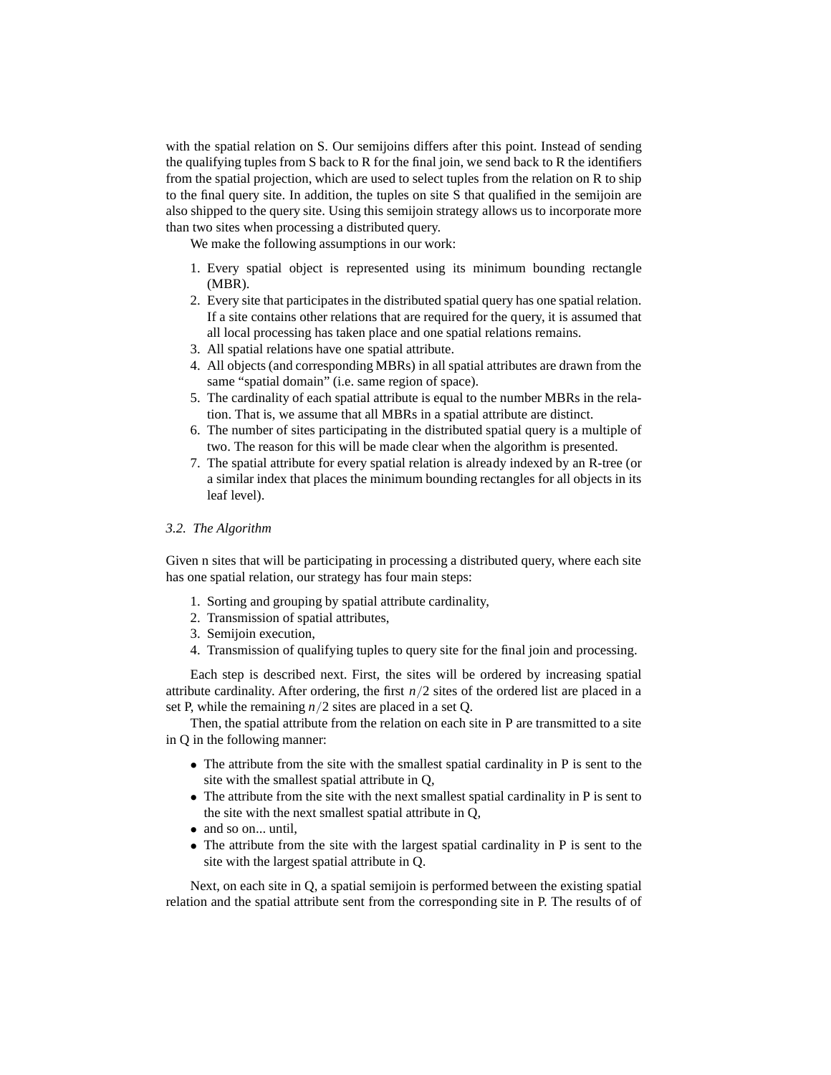with the spatial relation on S. Our semijoins differs after this point. Instead of sending the qualifying tuples from S back to R for the final join, we send back to R the identifiers from the spatial projection, which are used to select tuples from the relation on R to ship to the final query site. In addition, the tuples on site S that qualified in the semijoin are also shipped to the query site. Using this semijoin strategy allows us to incorporate more than two sites when processing a distributed query.

We make the following assumptions in our work:

- 1. Every spatial object is represented using its minimum bounding rectangle (MBR).
- 2. Every site that participates in the distributed spatial query has one spatial relation. If a site contains other relations that are required for the query, it is assumed that all local processing has taken place and one spatial relations remains.
- 3. All spatial relations have one spatial attribute.
- 4. All objects (and corresponding MBRs) in all spatial attributes are drawn from the same "spatial domain" (i.e. same region of space).
- 5. The cardinality of each spatial attribute is equal to the number MBRs in the relation. That is, we assume that all MBRs in a spatial attribute are distinct.
- 6. The number of sites participating in the distributed spatial query is a multiple of two. The reason for this will be made clear when the algorithm is presented.
- 7. The spatial attribute for every spatial relation is already indexed by an R-tree (or a similar index that places the minimum bounding rectangles for all objects in its leaf level).

## *3.2. The Algorithm*

Given n sites that will be participating in processing a distributed query, where each site has one spatial relation, our strategy has four main steps:

- 1. Sorting and grouping by spatial attribute cardinality,
- 2. Transmission of spatial attributes,
- 3. Semijoin execution,
- 4. Transmission of qualifying tuples to query site for the final join and processing.

Each step is described next. First, the sites will be ordered by increasing spatial attribute cardinality. After ordering, the first  $n/2$  sites of the ordered list are placed in a set P, while the remaining *n*/2 sites are placed in a set Q.

Then, the spatial attribute from the relation on each site in P are transmitted to a site in Q in the following manner:

- The attribute from the site with the smallest spatial cardinality in P is sent to the site with the smallest spatial attribute in Q,
- The attribute from the site with the next smallest spatial cardinality in P is sent to the site with the next smallest spatial attribute in Q,
- and so on... until.
- The attribute from the site with the largest spatial cardinality in P is sent to the site with the largest spatial attribute in Q.

Next, on each site in Q, a spatial semijoin is performed between the existing spatial relation and the spatial attribute sent from the corresponding site in P. The results of of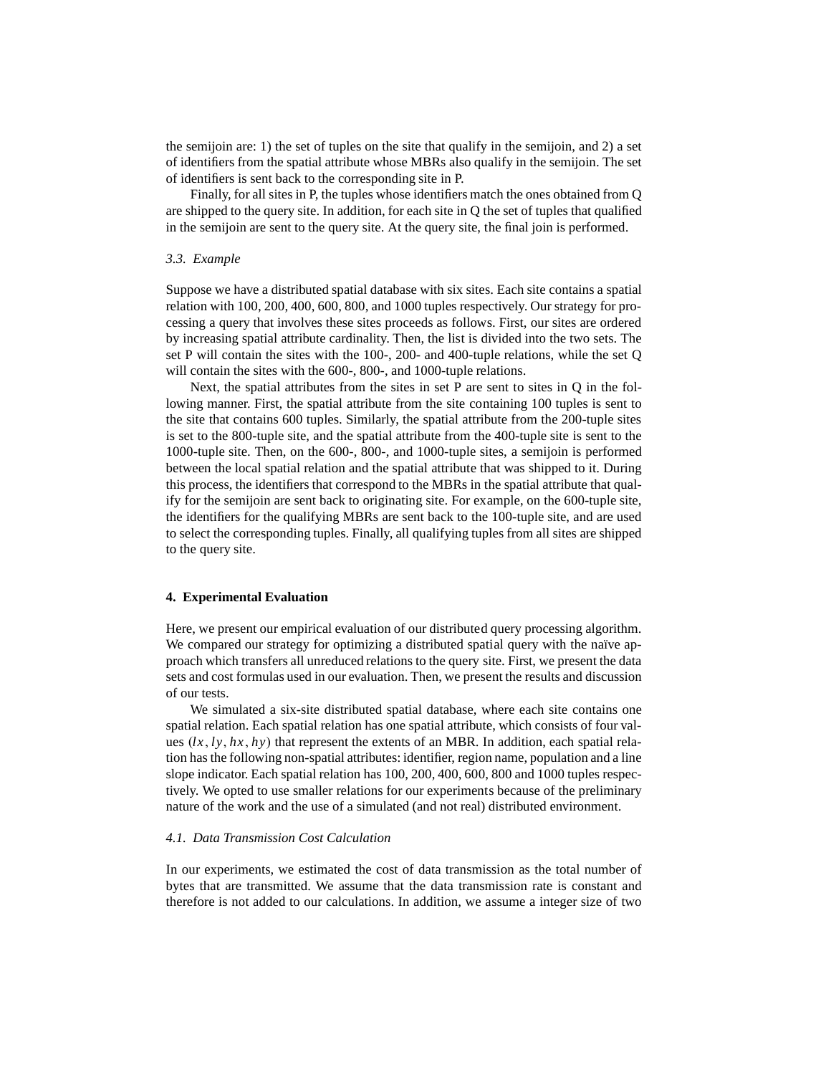the semijoin are: 1) the set of tuples on the site that qualify in the semijoin, and 2) a set of identifiers from the spatial attribute whose MBRs also qualify in the semijoin. The set of identifiers is sent back to the corresponding site in P.

Finally, for all sites in P, the tuples whose identifiers match the ones obtained from Q are shipped to the query site. In addition, for each site in Q the set of tuples that qualified in the semijoin are sent to the query site. At the query site, the final join is performed.

#### *3.3. Example*

Suppose we have a distributed spatial database with six sites. Each site contains a spatial relation with 100, 200, 400, 600, 800, and 1000 tuples respectively. Our strategy for processing a query that involves these sites proceeds as follows. First, our sites are ordered by increasing spatial attribute cardinality. Then, the list is divided into the two sets. The set P will contain the sites with the 100-, 200- and 400-tuple relations, while the set Q will contain the sites with the 600-, 800-, and 1000-tuple relations.

Next, the spatial attributes from the sites in set P are sent to sites in Q in the following manner. First, the spatial attribute from the site containing 100 tuples is sent to the site that contains 600 tuples. Similarly, the spatial attribute from the 200-tuple sites is set to the 800-tuple site, and the spatial attribute from the 400-tuple site is sent to the 1000-tuple site. Then, on the 600-, 800-, and 1000-tuple sites, a semijoin is performed between the local spatial relation and the spatial attribute that was shipped to it. During this process, the identifiers that correspond to the MBRs in the spatial attribute that qualify for the semijoin are sent back to originating site. For example, on the 600-tuple site, the identifiers for the qualifying MBRs are sent back to the 100-tuple site, and are used to select the corresponding tuples. Finally, all qualifying tuples from all sites are shipped to the query site.

## **4. Experimental Evaluation**

Here, we present our empirical evaluation of our distributed query processing algorithm. We compared our strategy for optimizing a distributed spatial query with the naïve approach which transfers all unreduced relations to the query site. First, we present the data sets and cost formulas used in our evaluation. Then, we present the results and discussion of our tests.

We simulated a six-site distributed spatial database, where each site contains one spatial relation. Each spatial relation has one spatial attribute, which consists of four values  $(lx, ly, hx, hy)$  that represent the extents of an MBR. In addition, each spatial relation has the following non-spatial attributes: identifier, region name, population and a line slope indicator. Each spatial relation has 100, 200, 400, 600, 800 and 1000 tuples respectively. We opted to use smaller relations for our experiments because of the preliminary nature of the work and the use of a simulated (and not real) distributed environment.

## *4.1. Data Transmission Cost Calculation*

In our experiments, we estimated the cost of data transmission as the total number of bytes that are transmitted. We assume that the data transmission rate is constant and therefore is not added to our calculations. In addition, we assume a integer size of two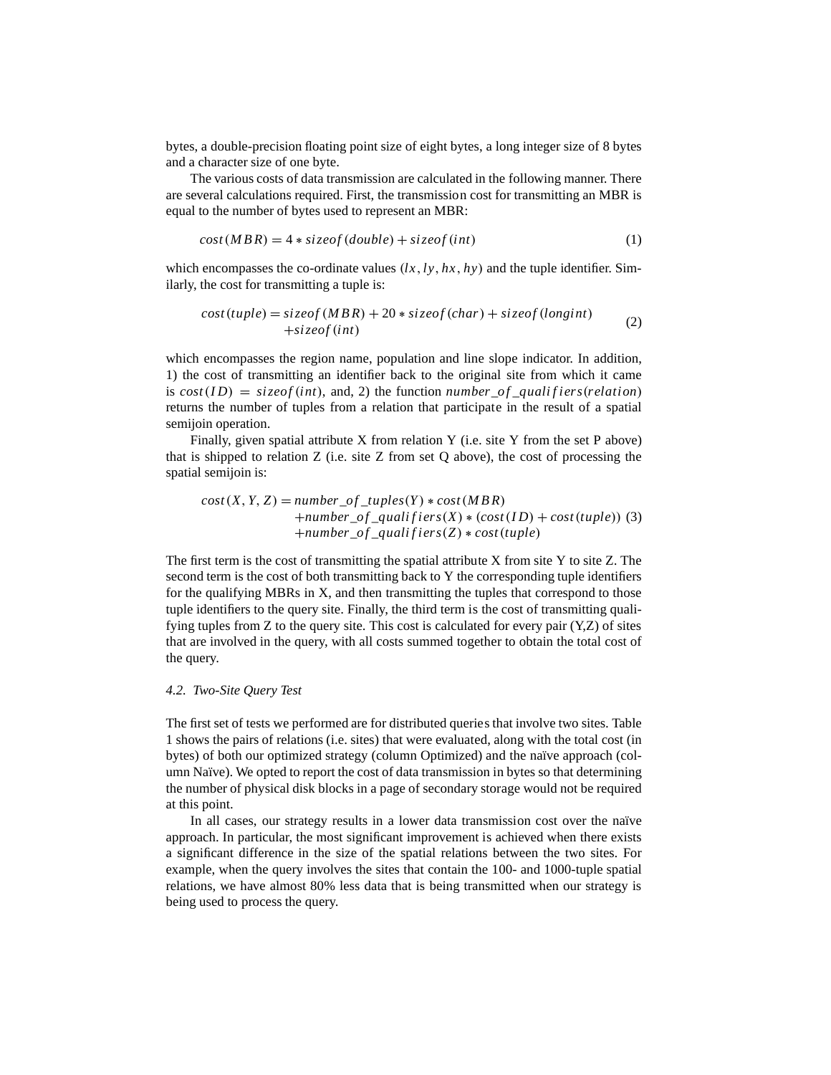bytes, a double-precision floating point size of eight bytes, a long integer size of 8 bytes and a character size of one byte.

The various costs of data transmission are calculated in the following manner. There are several calculations required. First, the transmission cost for transmitting an MBR is equal to the number of bytes used to represent an MBR:

$$
cost(MBR) = 4 * sizeof(double) + sizeof(int)
$$
\n(1)

which encompasses the co-ordinate values  $(lx, ly, hx, hy)$  and the tuple identifier. Similarly, the cost for transmitting a tuple is:

$$
cost(tuple) = sizeof(MBR) + 20 * sizeof(char) + sizeof(longint)
$$
  
+*sizeof(int)* (2)

which encompasses the region name, population and line slope indicator. In addition, 1) the cost of transmitting an identifier back to the original site from which it came is  $cost(ID) = sizeof(int)$ , and, 2) the function *number\_of\_qualifiers(relation)* returns the number of tuples from a relation that participate in the result of a spatial semijoin operation.

Finally, given spatial attribute  $X$  from relation  $Y$  (i.e. site  $Y$  from the set  $P$  above) that is shipped to relation  $Z$  (i.e. site  $Z$  from set  $Q$  above), the cost of processing the spatial semijoin is:

$$
cost(X, Y, Z) = number_of_tuples(Y) * cost(MBR)
$$
  
+number\_of\_tqualities(X) \* (cost(ID) + cost(tuple)) (3)  
+number\_of\_tqualities(X) \* cost(tuple)

The first term is the cost of transmitting the spatial attribute X from site Y to site Z. The second term is the cost of both transmitting back to Y the corresponding tuple identifiers for the qualifying MBRs in X, and then transmitting the tuples that correspond to those tuple identifiers to the query site. Finally, the third term is the cost of transmitting qualifying tuples from Z to the query site. This cost is calculated for every pair (Y,Z) of sites that are involved in the query, with all costs summed together to obtain the total cost of the query.

#### *4.2. Two-Site Query Test*

The first set of tests we performed are for distributed queries that involve two sites. Table 1 shows the pairs of relations (i.e. sites) that were evaluated, along with the total cost (in bytes) of both our optimized strategy (column Optimized) and the naïve approach (column Naïve). We opted to report the cost of data transmission in bytes so that determining the number of physical disk blocks in a page of secondary storage would not be required at this point.

In all cases, our strategy results in a lower data transmission cost over the naïve approach. In particular, the most significant improvement is achieved when there exists a significant difference in the size of the spatial relations between the two sites. For example, when the query involves the sites that contain the 100- and 1000-tuple spatial relations, we have almost 80% less data that is being transmitted when our strategy is being used to process the query.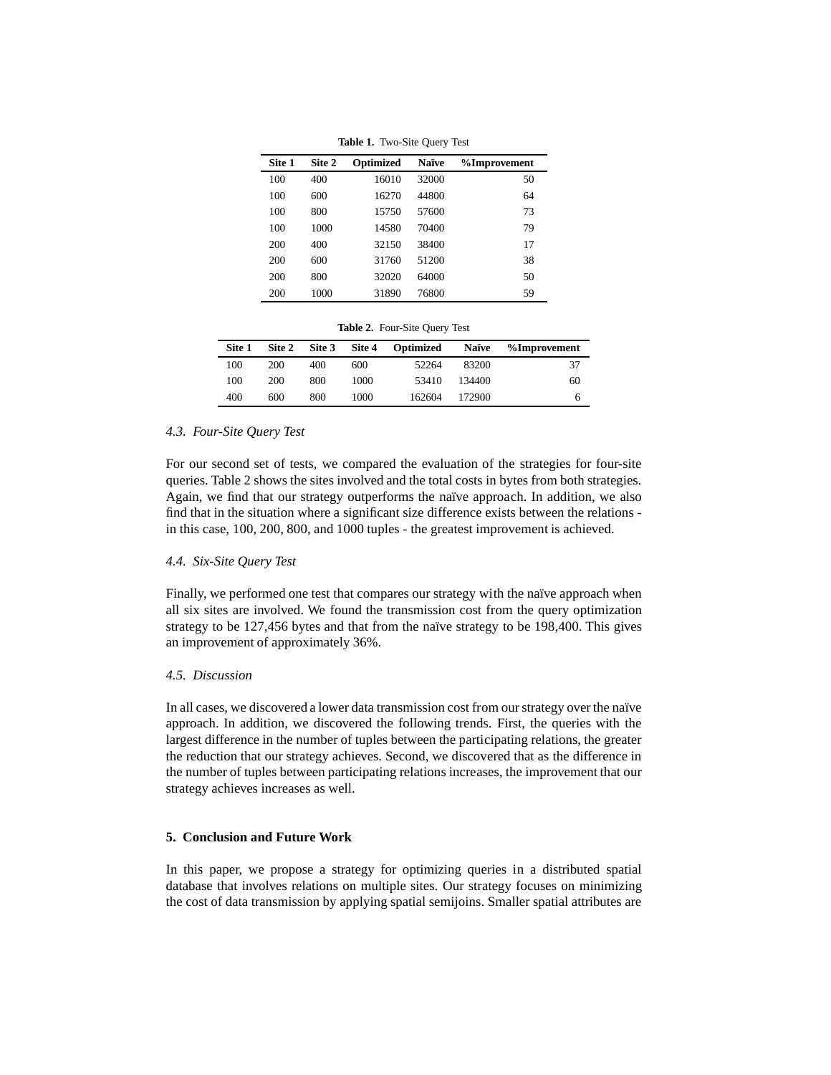| Site 1 | Site 2 | Optimized | <b>Naïve</b> | %Improvement |
|--------|--------|-----------|--------------|--------------|
| 100    | 400    | 16010     | 32000        | 50           |
| 100    | 600    | 16270     | 44800        | 64           |
| 100    | 800    | 15750     | 57600        | 73           |
| 100    | 1000   | 14580     | 70400        | 79           |
| 200    | 400    | 32150     | 38400        | 17           |
| 200    | 600    | 31760     | 51200        | 38           |
| 200    | 800    | 32020     | 64000        | 50           |
| 200    | 1000   | 31890     | 76800        | 59           |

**Table 1.** Two-Site Query Test

**Table 2.** Four-Site Query Test

| Site 1 | Site 2 | Site 3 | Site 4 | Optimized | Naïve  | %Improvement |
|--------|--------|--------|--------|-----------|--------|--------------|
| 100    | 200    | 400    | 600    | 52264     | 83200  | 37           |
| 100    | 200    | 800    | 1000   | 53410     | 134400 | 60           |
| 400    | 600    | 800    | 1000   | 162604    | 172900 | n            |

## *4.3. Four-Site Query Test*

For our second set of tests, we compared the evaluation of the strategies for four-site queries. Table 2 shows the sites involved and the total costs in bytes from both strategies. Again, we find that our strategy outperforms the naïve approach. In addition, we also find that in the situation where a significant size difference exists between the relations in this case, 100, 200, 800, and 1000 tuples - the greatest improvement is achieved.

#### *4.4. Six-Site Query Test*

Finally, we performed one test that compares our strategy with the naïve approach when all six sites are involved. We found the transmission cost from the query optimization strategy to be 127,456 bytes and that from the naïve strategy to be 198,400. This gives an improvement of approximately 36%.

## *4.5. Discussion*

In all cases, we discovered a lower data transmission cost from our strategy over the naïve approach. In addition, we discovered the following trends. First, the queries with the largest difference in the number of tuples between the participating relations, the greater the reduction that our strategy achieves. Second, we discovered that as the difference in the number of tuples between participating relations increases, the improvement that our strategy achieves increases as well.

# **5. Conclusion and Future Work**

In this paper, we propose a strategy for optimizing queries in a distributed spatial database that involves relations on multiple sites. Our strategy focuses on minimizing the cost of data transmission by applying spatial semijoins. Smaller spatial attributes are